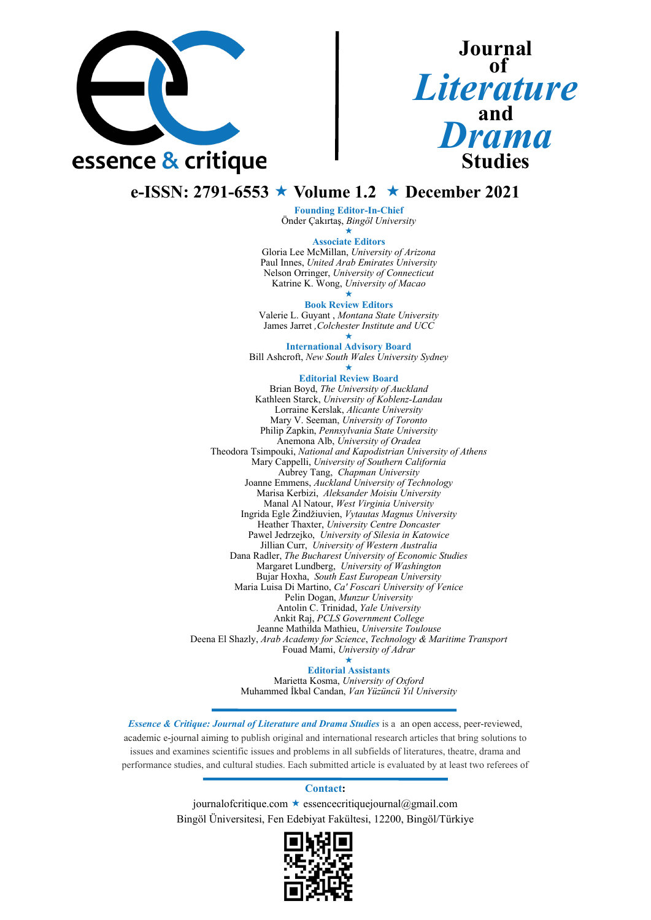

# **Journal**  $\overline{\textbf{of}}$ *Literature* **and**  *Drama* **Studies**

## **e-ISSN: 2791-6553 Volume 1.2 December 2021**

**Founding Editor-In-Chief** Önder Çakırtaş, *Bingöl University*

> $\star$ **Associate Editors**

Gloria Lee McMillan, *University of Arizona* Paul Innes, *United Arab Emirates University* Nelson Orringer, *University of Connecticut* Katrine K. Wong, *University of Macao*

 $\star$ **Book Review Editors**

Valerie L. Guyant , *Montana State University* James Jarret *,Colchester Institute and UCC*

#### $\star$ **International Advisory Board**

Bill Ashcroft, *New South Wales University Sydney*

#### $\star$ **Editorial Review Board**

Brian Boyd, *The University of Auckland* Kathleen Starck, *University of Koblenz-Landau* Lorraine Kerslak, *Alicante University* Mary V. Seeman, *University of Toronto* Philip Zapkin, *Pennsylvania State University* Anemona Alb, *University of Oradea* Theodora Tsimpouki, *National and Kapodistrian University of Athens* Mary Cappelli, *University of Southern California* Aubrey Tang, *Chapman University* Joanne Emmens, *Auckland University of Technology* Marisa Kerbizi, *Aleksander Moisiu University* Manal Al Natour, *West Virginia University* Ingrida Egle Žindžiuvien, *Vytautas Magnus University* Heather Thaxter, *University Centre Doncaster* Pawel Jedrzejko, *University of Silesia in Katowice* Jillian Curr, *University of Western Australia* Dana Radler, *The Bucharest University of Economic Studies* Margaret Lundberg, *University of Washington* Bujar Hoxha, *South East European University* Maria Luisa Di Martino, *Ca' Foscari University of Venice* Pelin Dogan, *Munzur University* Antolin C. Trinidad, *Yale University* Ankit Raj, *PCLS Government College* Jeanne Mathilda Mathieu, *Universite Toulouse* Deena El Shazly, *Arab Academy for Science*, *Technology & Maritime Transport* Fouad Mami, *University of Adrar*

> $\star$ **Editorial Assistants**

Marietta Kosma, *University of Oxford* Muhammed İkbal Candan, *Van Yüzüncü Yıl University*

*Essence & Critique: Journal of Literature and Drama Studies* is a an open access, peer-reviewed, academic e-journal aiming to publish original and international research articles that bring solutions to issues and examines scientific issues and problems in all subfields of literatures, theatre, drama and performance studies, and cultural studies. Each submitted article is evaluated by at least two referees of

### **Contact:**

journalofcritique.com  $\star$  essencecritiquejournal@gmail.com Bingöl Üniversitesi, Fen Edebiyat Fakültesi, 12200, Bingöl/Türkiye